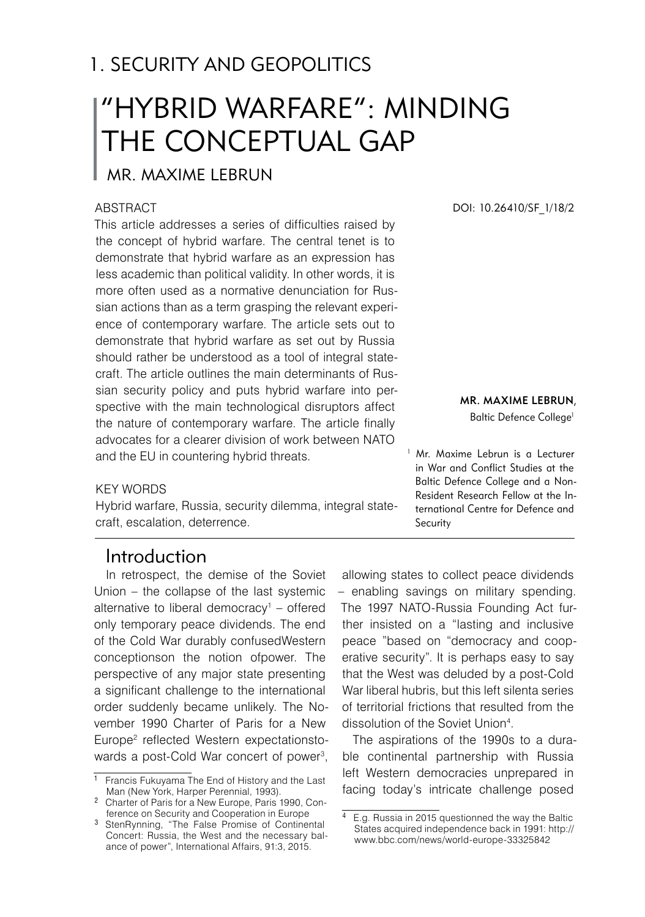# 1. SECURITY AND GEOPOLITICS

# "HYBRID WARFARE": MINDING THE CONCEPTUAL GAP

## Mr. Maxime Lebrun

#### **ABSTRACT**

This article addresses a series of difficulties raised by the concept of hybrid warfare. The central tenet is to demonstrate that hybrid warfare as an expression has less academic than political validity. In other words, it is more often used as a normative denunciation for Russian actions than as a term grasping the relevant experience of contemporary warfare. The article sets out to demonstrate that hybrid warfare as set out by Russia should rather be understood as a tool of integral statecraft. The article outlines the main determinants of Russian security policy and puts hybrid warfare into perspective with the main technological disruptors affect the nature of contemporary warfare. The article finally advocates for a clearer division of work between NATO and the EU in countering hybrid threats.

#### key words

Hybrid warfare, Russia, security dilemma, integral statecraft, escalation, deterrence.

DOI: 10.26410/SF\_1/18/2

#### Mr. Maxime Lebrun,

Baltic Defence College<sup>1</sup>

Mr. Maxime Lebrun is a Lecturer in War and Conflict Studies at the Baltic Defence College and a Non-Resident Research Fellow at the International Centre for Defence and Security

## Introduction

In retrospect, the demise of the Soviet Union – the collapse of the last systemic alternative to liberal democracy – offered only temporary peace dividends. The end of the Cold War durably confusedWestern conceptionson the notion ofpower. The perspective of any major state presenting a significant challenge to the international order suddenly became unlikely. The November 1990 Charter of Paris for a New Europe reflected Western expectationstowards a post-Cold War concert of power ,

allowing states to collect peace dividends – enabling savings on military spending. The 1997 NATO-Russia Founding Act further insisted on a "lasting and inclusive peace "based on "democracy and cooperative security". It is perhaps easy to say that the West was deluded by a post-Cold War liberal hubris, but this left silenta series of territorial frictions that resulted from the dissolution of the Soviet Union .

The aspirations of the 1990s to a durable continental partnership with Russia left Western democracies unprepared in facing today's intricate challenge posed

<sup>&</sup>lt;sup>1</sup> Francis Fukuyama The End of History and the Last Man (New York, Harper Perennial, 1993).

Charter of Paris for a New Europe, Paris 1990, Conference on Security and Cooperation in Europe

<sup>&</sup>lt;sup>3</sup> StenRynning, "The False Promise of Continental Concert: Russia, the West and the necessary balance of power", International Affairs, 91:3, 2015.

E.g. Russia in 2015 questionned the way the Baltic States acquired independence back in 1991: http:// www.bbc.com/news/world-europe-33325842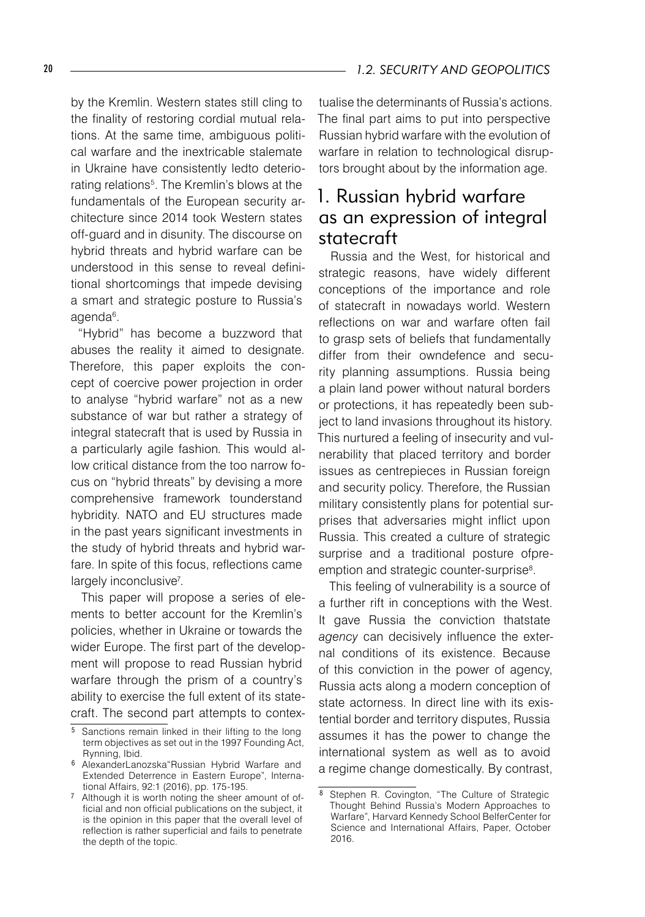by the Kremlin. Western states still cling to the finality of restoring cordial mutual relations. At the same time, ambiguous political warfare and the inextricable stalemate in Ukraine have consistently ledto deteriorating relations<sup>5</sup>. The Kremlin's blows at the fundamentals of the European security architecture since 2014 took Western states off-guard and in disunity. The discourse on hybrid threats and hybrid warfare can be understood in this sense to reveal definitional shortcomings that impede devising a smart and strategic posture to Russia's agenda .

"Hybrid" has become a buzzword that abuses the reality it aimed to designate. Therefore, this paper exploits the concept of coercive power projection in order to analyse "hybrid warfare" not as a new substance of war but rather a strategy of integral statecraft that is used by Russia in a particularly agile fashion*.* This would allow critical distance from the too narrow focus on "hybrid threats" by devising a more comprehensive framework tounderstand hybridity. NATO and EU structures made in the past years significant investments in the study of hybrid threats and hybrid warfare. In spite of this focus, reflections came largely inconclusive<sup>7</sup>.

This paper will propose a series of elements to better account for the Kremlin's policies, whether in Ukraine or towards the wider Europe. The first part of the development will propose to read Russian hybrid warfare through the prism of a country's ability to exercise the full extent of its statecraft. The second part attempts to contex-

tualise the determinants of Russia's actions. The final part aims to put into perspective Russian hybrid warfare with the evolution of warfare in relation to technological disruptors brought about by the information age.

## 1. Russian hybrid warfare as an expression of integral statecraft

Russia and the West, for historical and strategic reasons, have widely different conceptions of the importance and role of statecraft in nowadays world. Western reflections on war and warfare often fail to grasp sets of beliefs that fundamentally differ from their owndefence and security planning assumptions. Russia being a plain land power without natural borders or protections, it has repeatedly been subject to land invasions throughout its history. This nurtured a feeling of insecurity and vulnerability that placed territory and border issues as centrepieces in Russian foreign and security policy. Therefore, the Russian military consistently plans for potential surprises that adversaries might inflict upon Russia. This created a culture of strategic surprise and a traditional posture ofpreemption and strategic counter-surprise<sup>8</sup>.

This feeling of vulnerability is a source of a further rift in conceptions with the West. It gave Russia the conviction thatstate *agency* can decisively influence the external conditions of its existence. Because of this conviction in the power of agency, Russia acts along a modern conception of state actorness. In direct line with its existential border and territory disputes, Russia assumes it has the power to change the international system as well as to avoid a regime change domestically. By contrast,

<sup>&</sup>lt;sup>5</sup> Sanctions remain linked in their lifting to the long term objectives as set out in the 1997 Founding Act, Rynning, Ibid.

AlexanderLanozska"Russian Hybrid Warfare and Extended Deterrence in Eastern Europe", International Affairs, 92:1 (2016), pp. 175-195.

<sup>&</sup>lt;sup>7</sup> Although it is worth noting the sheer amount of official and non official publications on the subject, it is the opinion in this paper that the overall level of reflection is rather superficial and fails to penetrate the depth of the topic.

<sup>8</sup> Stephen R. Covington, "The Culture of Strategic Thought Behind Russia's Modern Approaches to Warfare", Harvard Kennedy School BelferCenter for Science and International Affairs, Paper, October 2016.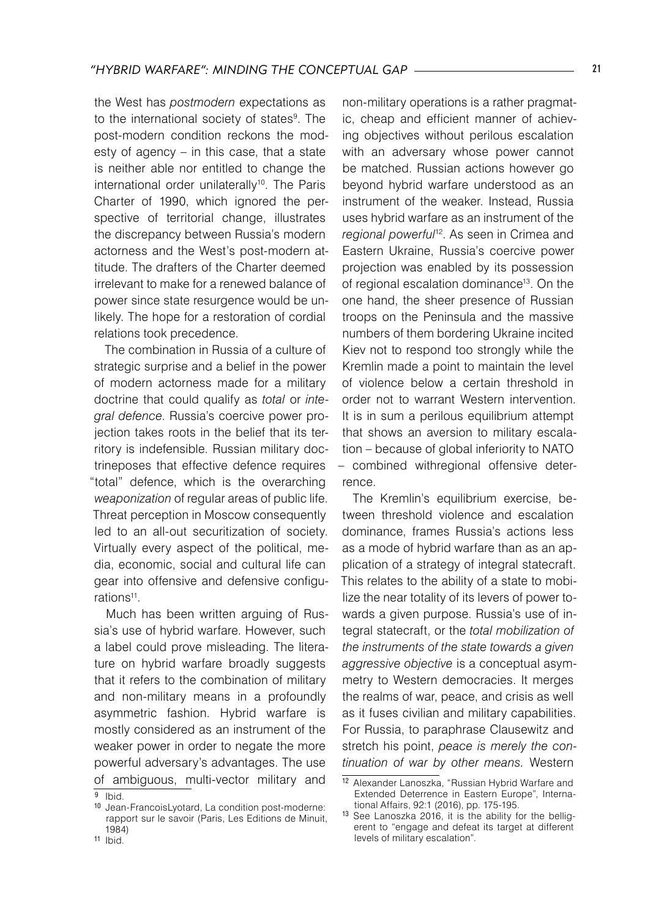the West has *postmodern* expectations as to the international society of states<sup>9</sup>. The post-modern condition reckons the modesty of agency – in this case, that a state is neither able nor entitled to change the international order unilaterally<sup>10</sup>. The Paris Charter of 1990, which ignored the perspective of territorial change, illustrates the discrepancy between Russia's modern actorness and the West's post-modern attitude. The drafters of the Charter deemed irrelevant to make for a renewed balance of power since state resurgence would be unlikely. The hope for a restoration of cordial relations took precedence.

The combination in Russia of a culture of strategic surprise and a belief in the power of modern actorness made for a military doctrine that could qualify as *total* or *integral defence*. Russia's coercive power projection takes roots in the belief that its territory is indefensible. Russian military doctrineposes that effective defence requires "total" defence, which is the overarching *weaponization* of regular areas of public life. Threat perception in Moscow consequently led to an all-out securitization of society. Virtually every aspect of the political, media, economic, social and cultural life can gear into offensive and defensive configurations<sup>11</sup>.

Much has been written arguing of Russia's use of hybrid warfare. However, such a label could prove misleading. The literature on hybrid warfare broadly suggests that it refers to the combination of military and non-military means in a profoundly asymmetric fashion. Hybrid warfare is mostly considered as an instrument of the weaker power in order to negate the more powerful adversary's advantages. The use of ambiguous, multi-vector military and

non-military operations is a rather pragmatic, cheap and efficient manner of achieving objectives without perilous escalation with an adversary whose power cannot be matched. Russian actions however go beyond hybrid warfare understood as an instrument of the weaker. Instead, Russia uses hybrid warfare as an instrument of the *regional powerful*12. As seen in Crimea and Eastern Ukraine, Russia's coercive power projection was enabled by its possession of regional escalation dominance<sup>13</sup>. On the one hand, the sheer presence of Russian troops on the Peninsula and the massive numbers of them bordering Ukraine incited Kiev not to respond too strongly while the Kremlin made a point to maintain the level of violence below a certain threshold in order not to warrant Western intervention. It is in sum a perilous equilibrium attempt that shows an aversion to military escalation – because of global inferiority to NATO – combined withregional offensive deterrence.

The Kremlin's equilibrium exercise, between threshold violence and escalation dominance, frames Russia's actions less as a mode of hybrid warfare than as an application of a strategy of integral statecraft. This relates to the ability of a state to mobilize the near totality of its levers of power towards a given purpose. Russia's use of integral statecraft, or the *total mobilization of the instruments of the state towards a given aggressive objective* is a conceptual asymmetry to Western democracies. It merges the realms of war, peace, and crisis as well as it fuses civilian and military capabilities. For Russia, to paraphrase Clausewitz and stretch his point, *peace is merely the continuation of war by other means.* Western

 $\overline{9}$  Ibid.

<sup>10</sup> Jean-FrancoisLyotard, La condition post-moderne: rapport sur le savoir (Paris, Les Editions de Minuit, 1984)

 $11$  Ibid.

<sup>12</sup> Alexander Lanoszka, "Russian Hybrid Warfare and Extended Deterrence in Eastern Europe", International Affairs, 92:1 (2016), pp. 175-195.

<sup>13</sup> See Lanoszka 2016, it is the ability for the belligerent to "engage and defeat its target at different levels of military escalation".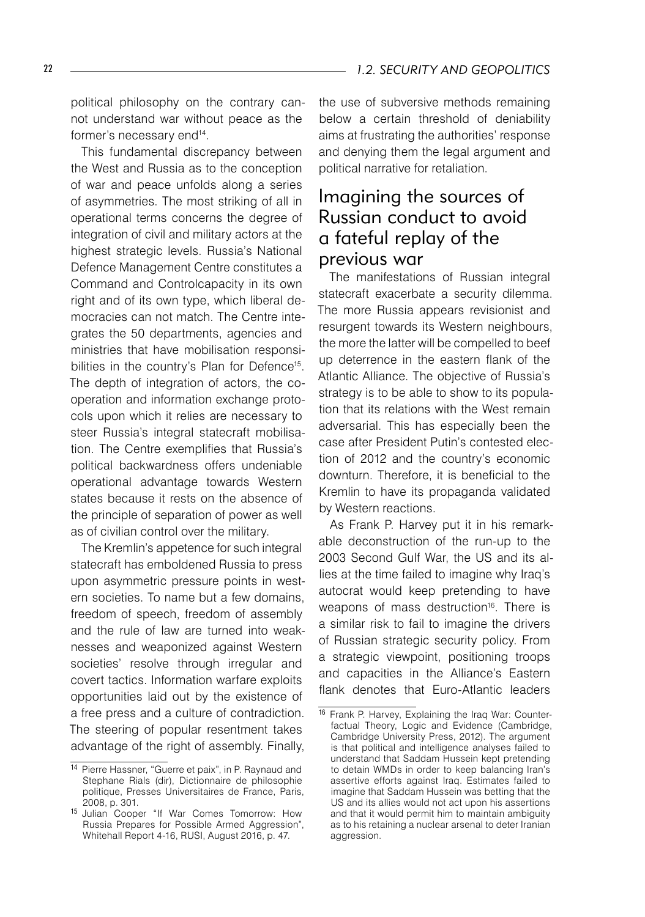political philosophy on the contrary cannot understand war without peace as the former's necessary end<sup>14</sup>.

This fundamental discrepancy between the West and Russia as to the conception of war and peace unfolds along a series of asymmetries. The most striking of all in operational terms concerns the degree of integration of civil and military actors at the highest strategic levels. Russia's National Defence Management Centre constitutes a Command and Controlcapacity in its own right and of its own type, which liberal democracies can not match. The Centre integrates the 50 departments, agencies and ministries that have mobilisation responsibilities in the country's Plan for Defence15 . The depth of integration of actors, the cooperation and information exchange protocols upon which it relies are necessary to steer Russia's integral statecraft mobilisation. The Centre exemplifies that Russia's political backwardness offers undeniable operational advantage towards Western states because it rests on the absence of the principle of separation of power as well as of civilian control over the military.

The Kremlin's appetence for such integral statecraft has emboldened Russia to press upon asymmetric pressure points in western societies. To name but a few domains, freedom of speech, freedom of assembly and the rule of law are turned into weaknesses and weaponized against Western societies' resolve through irregular and covert tactics. Information warfare exploits opportunities laid out by the existence of a free press and a culture of contradiction. The steering of popular resentment takes advantage of the right of assembly. Finally, the use of subversive methods remaining below a certain threshold of deniability aims at frustrating the authorities' response and denying them the legal argument and political narrative for retaliation.

## Imagining the sources of Russian conduct to avoid a fateful replay of the previous war

The manifestations of Russian integral statecraft exacerbate a security dilemma. The more Russia appears revisionist and resurgent towards its Western neighbours, the more the latter will be compelled to beef up deterrence in the eastern flank of the Atlantic Alliance. The objective of Russia's strategy is to be able to show to its population that its relations with the West remain adversarial. This has especially been the case after President Putin's contested election of 2012 and the country's economic downturn. Therefore, it is beneficial to the Kremlin to have its propaganda validated by Western reactions.

As Frank P. Harvey put it in his remarkable deconstruction of the run-up to the 2003 Second Gulf War, the US and its allies at the time failed to imagine why Iraq's autocrat would keep pretending to have weapons of mass destruction<sup>16</sup>. There is a similar risk to fail to imagine the drivers of Russian strategic security policy. From a strategic viewpoint, positioning troops and capacities in the Alliance's Eastern flank denotes that Euro-Atlantic leaders

<sup>14</sup> Pierre Hassner, "Guerre et paix", in P. Raynaud and Stephane Rials (dir), Dictionnaire de philosophie politique, Presses Universitaires de France, Paris, 2008, p. 301.

<sup>15</sup> Julian Cooper "If War Comes Tomorrow: How Russia Prepares for Possible Armed Aggression", Whitehall Report 4-16, RUSI, August 2016, p. 47.

<sup>16</sup> Frank P. Harvey, Explaining the Iraq War: Counterfactual Theory, Logic and Evidence (Cambridge, Cambridge University Press, 2012). The argument is that political and intelligence analyses failed to understand that Saddam Hussein kept pretending to detain WMDs in order to keep balancing Iran's assertive efforts against Iraq. Estimates failed to imagine that Saddam Hussein was betting that the US and its allies would not act upon his assertions and that it would permit him to maintain ambiguity as to his retaining a nuclear arsenal to deter Iranian aggression.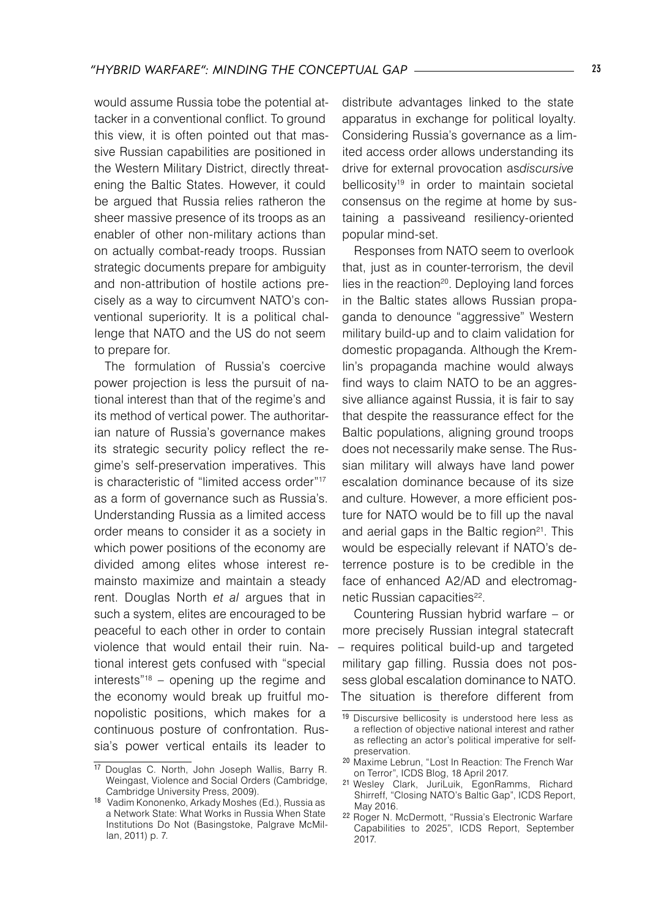would assume Russia tobe the potential attacker in a conventional conflict. To ground this view, it is often pointed out that massive Russian capabilities are positioned in the Western Military District, directly threatening the Baltic States. However, it could be argued that Russia relies ratheron the sheer massive presence of its troops as an enabler of other non-military actions than on actually combat-ready troops. Russian strategic documents prepare for ambiguity and non-attribution of hostile actions precisely as a way to circumvent NATO's conventional superiority. It is a political challenge that NATO and the US do not seem to prepare for.

The formulation of Russia's coercive power projection is less the pursuit of national interest than that of the regime's and its method of vertical power. The authoritarian nature of Russia's governance makes its strategic security policy reflect the regime's self-preservation imperatives. This is characteristic of "limited access order"17 as a form of governance such as Russia's. Understanding Russia as a limited access order means to consider it as a society in which power positions of the economy are divided among elites whose interest remainsto maximize and maintain a steady rent. Douglas North *et al* argues that in such a system, elites are encouraged to be peaceful to each other in order to contain violence that would entail their ruin. National interest gets confused with "special interests"18 – opening up the regime and the economy would break up fruitful monopolistic positions, which makes for a continuous posture of confrontation. Russia's power vertical entails its leader to

distribute advantages linked to the state apparatus in exchange for political loyalty. Considering Russia's governance as a limited access order allows understanding its drive for external provocation as*discursive*  bellicosity<sup>19</sup> in order to maintain societal consensus on the regime at home by sustaining a passiveand resiliency-oriented popular mind-set.

Responses from NATO seem to overlook that, just as in counter-terrorism, the devil lies in the reaction<sup>20</sup>. Deploying land forces in the Baltic states allows Russian propaganda to denounce "aggressive" Western military build-up and to claim validation for domestic propaganda. Although the Kremlin's propaganda machine would always find ways to claim NATO to be an aggressive alliance against Russia, it is fair to say that despite the reassurance effect for the Baltic populations, aligning ground troops does not necessarily make sense. The Russian military will always have land power escalation dominance because of its size and culture. However, a more efficient posture for NATO would be to fill up the naval and aerial gaps in the Baltic region<sup>21</sup>. This would be especially relevant if NATO's deterrence posture is to be credible in the face of enhanced A2/AD and electromagnetic Russian capacities<sup>22</sup>.

Countering Russian hybrid warfare – or more precisely Russian integral statecraft – requires political build-up and targeted military gap filling. Russia does not possess global escalation dominance to NATO. The situation is therefore different from

<sup>17</sup> Douglas C. North, John Joseph Wallis, Barry R. Weingast, Violence and Social Orders (Cambridge, Cambridge University Press, 2009).

<sup>18</sup> Vadim Kononenko, Arkady Moshes (Ed.), Russia as a Network State: What Works in Russia When State Institutions Do Not (Basingstoke, Palgrave McMillan, 2011) p. 7.

<sup>&</sup>lt;sup>19</sup> Discursive bellicosity is understood here less as a reflection of objective national interest and rather as reflecting an actor's political imperative for selfpreservation.

<sup>20</sup> Maxime Lebrun, "Lost In Reaction: The French War on Terror", ICDS Blog, 18 April 2017.

<sup>21</sup> Wesley Clark, JuriLuik, EgonRamms, Richard Shirreff, "Closing NATO's Baltic Gap", ICDS Report, May 2016.

<sup>22</sup> Roger N. McDermott, "Russia's Electronic Warfare Capabilities to 2025", ICDS Report, September 2017.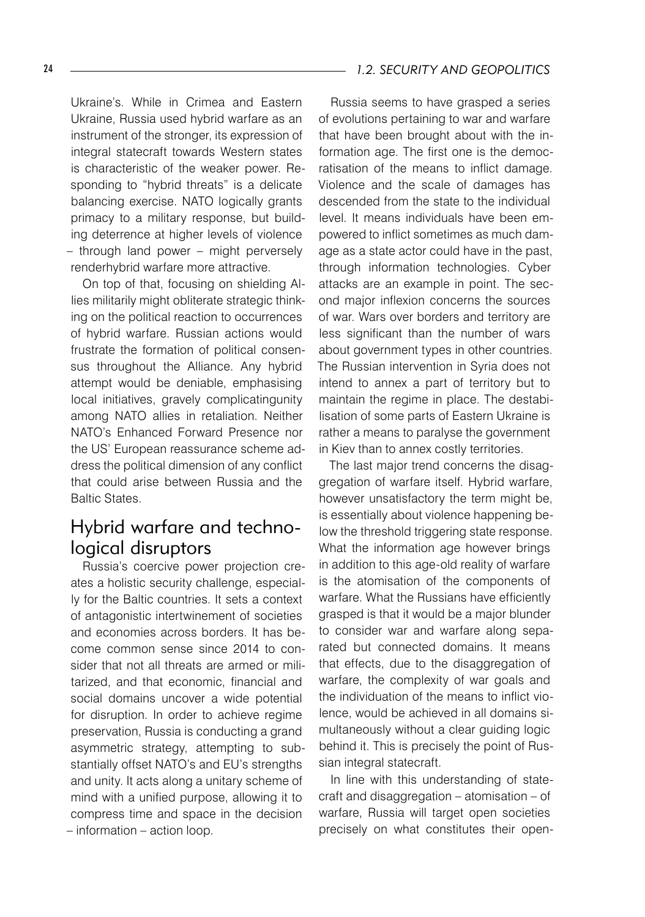Ukraine's. While in Crimea and Eastern Ukraine, Russia used hybrid warfare as an instrument of the stronger, its expression of integral statecraft towards Western states is characteristic of the weaker power. Responding to "hybrid threats" is a delicate balancing exercise. NATO logically grants primacy to a military response, but building deterrence at higher levels of violence – through land power – might perversely renderhybrid warfare more attractive.

On top of that, focusing on shielding Allies militarily might obliterate strategic thinking on the political reaction to occurrences of hybrid warfare. Russian actions would frustrate the formation of political consensus throughout the Alliance. Any hybrid attempt would be deniable, emphasising local initiatives, gravely complicatingunity among NATO allies in retaliation. Neither NATO's Enhanced Forward Presence nor the US' European reassurance scheme address the political dimension of any conflict that could arise between Russia and the Baltic States.

## Hybrid warfare and technological disruptors

Russia's coercive power projection creates a holistic security challenge, especially for the Baltic countries. It sets a context of antagonistic intertwinement of societies and economies across borders. It has become common sense since 2014 to consider that not all threats are armed or militarized, and that economic, financial and social domains uncover a wide potential for disruption. In order to achieve regime preservation, Russia is conducting a grand asymmetric strategy, attempting to substantially offset NATO's and EU's strengths and unity. It acts along a unitary scheme of mind with a unified purpose, allowing it to compress time and space in the decision – information – action loop.

#### 24 *1.2. SECURITY AND GEOPOLITICS*

Russia seems to have grasped a series of evolutions pertaining to war and warfare that have been brought about with the information age. The first one is the democratisation of the means to inflict damage. Violence and the scale of damages has descended from the state to the individual level. It means individuals have been empowered to inflict sometimes as much damage as a state actor could have in the past, through information technologies. Cyber attacks are an example in point. The second major inflexion concerns the sources of war. Wars over borders and territory are less significant than the number of wars about government types in other countries. The Russian intervention in Syria does not intend to annex a part of territory but to maintain the regime in place. The destabilisation of some parts of Eastern Ukraine is rather a means to paralyse the government in Kiev than to annex costly territories.

The last major trend concerns the disaggregation of warfare itself. Hybrid warfare, however unsatisfactory the term might be, is essentially about violence happening below the threshold triggering state response. What the information age however brings in addition to this age-old reality of warfare is the atomisation of the components of warfare. What the Russians have efficiently grasped is that it would be a major blunder to consider war and warfare along separated but connected domains. It means that effects, due to the disaggregation of warfare, the complexity of war goals and the individuation of the means to inflict violence, would be achieved in all domains simultaneously without a clear guiding logic behind it. This is precisely the point of Russian integral statecraft.

In line with this understanding of statecraft and disaggregation – atomisation – of warfare, Russia will target open societies precisely on what constitutes their open-